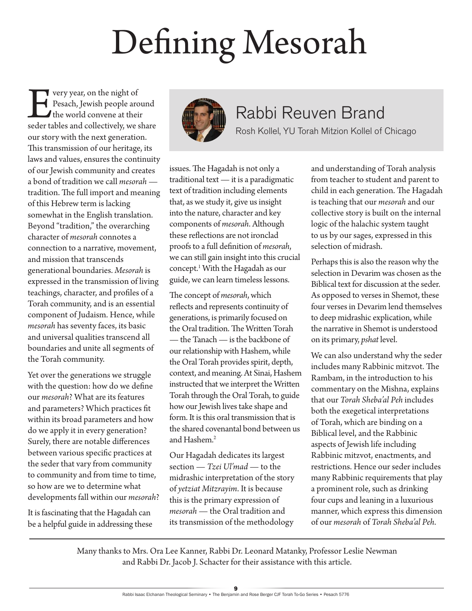# Defining Mesorah

**Every year, on the night of<br>
Pesach, Jewish people around<br>
the world convene at their<br>
seder tables and collectively, we share** Pesach, Jewish people around the world convene at their our story with the next generation. This transmission of our heritage, its laws and values, ensures the continuity of our Jewish community and creates a bond of tradition we call *mesorah* tradition. The full import and meaning of this Hebrew term is lacking somewhat in the English translation. Beyond "tradition," the overarching character of *mesorah* connotes a connection to a narrative, movement, and mission that transcends generational boundaries. *Mesorah* is expressed in the transmission of living teachings, character, and profiles of a Torah community, and is an essential component of Judaism. Hence, while *mesorah* has seventy faces, its basic and universal qualities transcend all boundaries and unite all segments of the Torah community.

Yet over the generations we struggle with the question: how do we define our *mesorah*? What are its features and parameters? Which practices fit within its broad parameters and how do we apply it in every generation? Surely, there are notable differences between various specific practices at the seder that vary from community to community and from time to time, so how are we to determine what developments fall within our *mesorah*?

It is fascinating that the Hagadah can be a helpful guide in addressing these



## Rabbi Reuven Brand

Rosh Kollel, YU Torah Mitzion Kollel of Chicago

issues. The Hagadah is not only a traditional text — it is a paradigmatic text of tradition including elements that, as we study it, give us insight into the nature, character and key components of *mesorah*. Although these reflections are not ironclad proofs to a full definition of *mesorah*, we can still gain insight into this crucial concept.1 With the Hagadah as our guide, we can learn timeless lessons.

The concept of *mesorah*, which reflects and represents continuity of generations, is primarily focused on the Oral tradition. The Written Torah — the Tanach — is the backbone of our relationship with Hashem, while the Oral Torah provides spirit, depth, context, and meaning. At Sinai, Hashem instructed that we interpret the Written Torah through the Oral Torah, to guide how our Jewish lives take shape and form. It is this oral transmission that is the shared covenantal bond between us and Hashem.<sup>2</sup>

Our Hagadah dedicates its largest section — *Tzei Ul'mad* — to the midrashic interpretation of the story of *yetziat Mitzrayim*. It is because this is the primary expression of *mesorah* — the Oral tradition and its transmission of the methodology

and understanding of Torah analysis from teacher to student and parent to child in each generation. The Hagadah is teaching that our *mesorah* and our collective story is built on the internal logic of the halachic system taught to us by our sages, expressed in this selection of midrash.

Perhaps this is also the reason why the selection in Devarim was chosen as the Biblical text for discussion at the seder. As opposed to verses in Shemot, these four verses in Devarim lend themselves to deep midrashic explication, while the narrative in Shemot is understood on its primary, *pshat* level.

We can also understand why the seder includes many Rabbinic mitzvot. The Rambam, in the introduction to his commentary on the Mishna, explains that our *Torah Sheba'al Peh* includes both the exegetical interpretations of Torah, which are binding on a Biblical level, and the Rabbinic aspects of Jewish life including Rabbinic mitzvot, enactments, and restrictions. Hence our seder includes many Rabbinic requirements that play a prominent role, such as drinking four cups and leaning in a luxurious manner, which express this dimension of our *mesorah* of *Torah Sheba'al Peh*.

Many thanks to Mrs. Ora Lee Kanner, Rabbi Dr. Leonard Matanky, Professor Leslie Newman and Rabbi Dr. Jacob J. Schacter for their assistance with this article.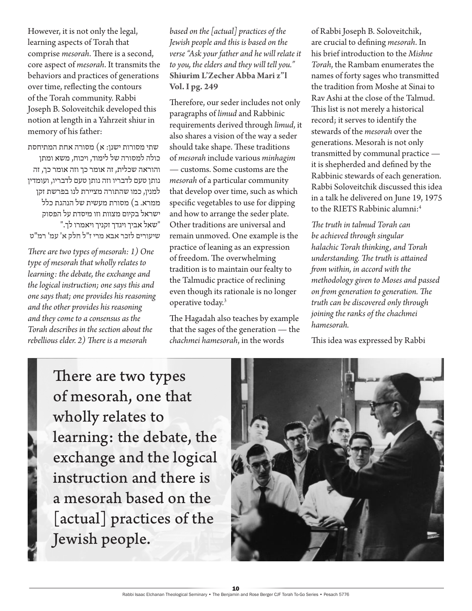However, it is not only the legal, learning aspects of Torah that comprise *mesorah*. There is a second, core aspect of *mesorah*. It transmits the behaviors and practices of generations over time, reflecting the contours of the Torah community. Rabbi Joseph B. Soloveitchik developed this notion at length in a Yahrzeit shiur in memory of his father:

שתי מסורות ישנן: א $\left( \mathbf{x} \right)$  מסורה אחת המתיחסת כולה למסורה שללימוד, ויכוח, משא ומתן והוראה שכלית, זה אומר כך וזה אומר כך, זה נותן טעם לדבריו וזה נותן טעם לדבריו, ועומדין למנין, כמו שהתורה מציירת לנו בפרשת זקן ממרא. ב) מסורת מעשית של הנהגת כלל ישראל בקיום מצוות וזו מיסדת על הפסוק "שאל אביך ויגדך זקניך ויאמרו לך. $w$ " **שיעורים לזכר אבא מרי ז"ל חלק א' עמ' רמ"ט**

*There are two types of mesorah: 1) One type of mesorah that wholly relates to learning: the debate, the exchange and the logical instruction; one says this and one says that; one provides his reasoning and the other provides his reasoning and they come to a consensus as the Torah describes in the section about the rebellious elder. 2) There is a mesorah* 

*based on the [actual] practices of the Jewish people and this is based on the verse "Ask your father and he will relate it to you, the elders and they will tell you."* **Shiurim L'Zecher Abba Mari z"l Vol. I pg. 249**

Therefore, our seder includes not only paragraphs of *limud* and Rabbinic requirements derived through *limud*, it also shares a vision of the way a seder should take shape. These traditions of *mesorah* include various *minhagim* — customs. Some customs are the *mesorah* of a particular community that develop over time, such as which specific vegetables to use for dipping and how to arrange the seder plate. Other traditions are universal and remain unmoved. One example is the practice of leaning as an expression of freedom. The overwhelming tradition is to maintain our fealty to the Talmudic practice of reclining even though its rationale is no longer operative today.<sup>3</sup>

The Hagadah also teaches by example that the sages of the generation — the *chachmei hamesorah*, in the words

of Rabbi Joseph B. Soloveitchik, are crucial to defining *mesorah*. In his brief introduction to the *Mishne Torah*, the Rambam enumerates the names of forty sages who transmitted the tradition from Moshe at Sinai to Rav Ashi at the close of the Talmud. This list is not merely a historical record; it serves to identify the stewards of the *mesorah* over the generations. Mesorah is not only transmitted by communal practice it is shepherded and defined by the Rabbinic stewards of each generation. Rabbi Soloveitchik discussed this idea in a talk he delivered on June 19, 1975 to the RIETS Rabbinic alumni:<sup>4</sup>

*The truth in talmud Torah can be achieved through singular halachic Torah thinking, and Torah understanding. The truth is attained from within, in accord with the methodology given to Moses and passed on from generation to generation. The truth can be discovered only through joining the ranks of the chachmei hamesorah.*

This idea was expressed by Rabbi

There are two types of mesorah, one that wholly relates to learning: the debate, the exchange and the logical instruction and there is a mesorah based on the [actual] practices of the Jewish people.

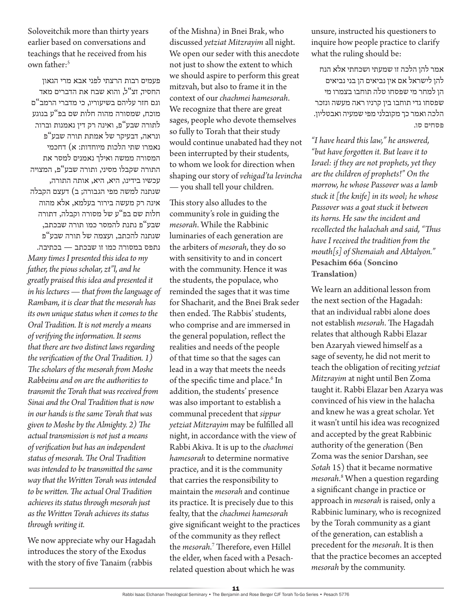Soloveitchik more than thirty years earlier based on conversations and teachings that he received from his own father:<sup>5</sup>

פעמים רבות הרצתי לפני אבא מרי הגאון החסיד, זצ"ל, והוא שבח את הדברים מאד וגם חזר עליהם בשיעוריו, כי מדברי הרמב"ם מוכח, שמסורה מהוה חלות שם בפ"ע בנוגע לתורה שבע"פ, ואינה רק דין נאמנות וברור. ונראה, דבעיקר של אמתת תורה שבע"פ נאמרו שתי הלכות מיוחדות: א( דחכמי המסורה ממשה ואילך נאמנים למסר את התורה שקבלו מסיני, ותורה שבע"פ, המצויה עכשיו בידינו, היא, היא, אותה התורה, שנתנה למשה מפי הגבורה; ב( דעצם הקבלה אינה רק מעשה בירור בעלמא, אלא מהוה חלות שם בפ"ע של מסורה וקבלה, דתורה שבע"פ נתנת להמסר כמו תורה שבכתב, שנתנה להכתב, ועצמה של תורה שבע"פ נתפס במסורה כמו זו שבכתב — בכתיבה. *Many times I presented this idea to my father, the pious scholar, zt"l, and he greatly praised this idea and presented it in his lectures — that from the language of Rambam, it is clear that the mesorah has its own unique status when it comes to the Oral Tradition. It is not merely a means of verifying the information. It seems that there are two distinct laws regarding the verification of the Oral Tradition. 1) The scholars of the mesorah from Moshe Rabbeinu and on are the authorities to transmit the Torah that was received from Sinai and the Oral Tradition that is now in our hands is the same Torah that was given to Moshe by the Almighty. 2) The actual transmission is not just a means of verification but has an independent status of mesorah. The Oral Tradition was intended to be transmitted the same way that the Written Torah was intended to be written. The actual Oral Tradition achieves its status through mesorah just as the Written Torah achieves its status through writing it.*

We now appreciate why our Hagadah introduces the story of the Exodus with the story of five Tanaim (rabbis

of the Mishna) in Bnei Brak, who discussed *yetziat Mitzrayim* all night. We open our seder with this anecdote not just to show the extent to which we should aspire to perform this great mitzvah, but also to frame it in the context of our *chachmei hamesorah*. We recognize that there are great sages, people who devote themselves so fully to Torah that their study would continue unabated had they not been interrupted by their students, to whom we look for direction when shaping our story of *vehigad'ta levincha* — you shall tell your children.

This story also alludes to the community's role in guiding the *mesorah*. While the Rabbinic luminaries of each generation are the arbiters of *mesorah*, they do so with sensitivity to and in concert with the community. Hence it was the students, the populace, who reminded the sages that it was time for Shacharit, and the Bnei Brak seder then ended. The Rabbis' students, who comprise and are immersed in the general population, reflect the realities and needs of the people of that time so that the sages can lead in a way that meets the needs of the specific time and place.<sup>6</sup> In addition, the students' presence was also important to establish a communal precedent that *sippur yetziat Mitzrayim* may be fulfilled all night, in accordance with the view of Rabbi Akiva. It is up to the *chachmei hamesorah* to determine normative practice, and it is the community that carries the responsibility to maintain the *mesorah* and continue its practice. It is precisely due to this fealty, that the *chachmei hamesorah* give significant weight to the practices of the community as they reflect the *mesorah*. 7 Therefore, even Hillel the elder, when faced with a Pesachrelated question about which he was

unsure, instructed his questioners to inquire how people practice to clarify what the ruling should be:

אמר להן הלכה זו שמעתי ושכחתי אלא הנח להן לישראל אם אין נביאים הן בני נביאים הןלמחר מי שפסחו טלה תוחבו בצמרו מי שפסחו גדי תוחבו בין קרניו ראה מעשה ונזכר הלכה ואמר כך מקובלני מפי שמעיה ואבטליון. **פסחים סו.**

*"I have heard this law," he answered, "but have forgotten it. But leave it to Israel: if they are not prophets, yet they are the children of prophets!" On the morrow, he whose Passover was a lamb stuck it [the knife] in its wool; he whose Passover was a goat stuck it between its horns. He saw the incident and recollected the halachah and said, "Thus have I received the tradition from the mouth[s] of Shemaiah and Abtalyon."* **Pesachim 66a (Soncino Translation)**

We learn an additional lesson from the next section of the Hagadah: that an individual rabbi alone does not establish *mesorah*. The Hagadah relates that although Rabbi Elazar ben Azaryah viewed himself as a sage of seventy, he did not merit to teach the obligation of reciting *yetziat Mitzrayim* at night until Ben Zoma taught it. Rabbi Elazar ben Azarya was convinced of his view in the halacha and knew he was a great scholar. Yet it wasn't until his idea was recognized and accepted by the great Rabbinic authority of the generation (Ben Zoma was the senior Darshan, see *Sotah* 15) that it became normative *mesorah*. 8 When a question regarding a significant change in practice or approach in *mesorah* is raised, only a Rabbinic luminary, who is recognized by the Torah community as a giant of the generation, can establish a precedent for the *mesorah*. It is then that the practice becomes an accepted *mesorah* by the community.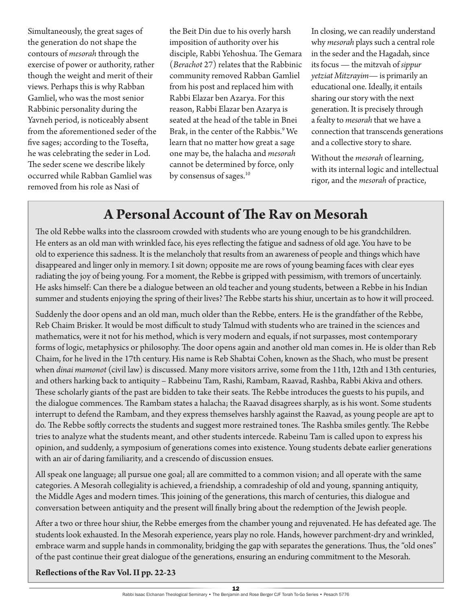Simultaneously, the great sages of the generation do not shape the contours of *mesorah* through the exercise of power or authority, rather though the weight and merit of their views. Perhaps this is why Rabban Gamliel, who was the most senior Rabbinic personality during the Yavneh period, is noticeably absent from the aforementioned seder of the five sages; according to the Tosefta, he was celebrating the seder in Lod. The seder scene we describe likely occurred while Rabban Gamliel was removed from his role as Nasi of

the Beit Din due to his overly harsh imposition of authority over his disciple, Rabbi Yehoshua. The Gemara (*Berachot* 27) relates that the Rabbinic community removed Rabban Gamliel from his post and replaced him with Rabbi Elazar ben Azarya. For this reason, Rabbi Elazar ben Azarya is seated at the head of the table in Bnei Brak, in the center of the Rabbis.9 We learn that no matter how great a sage one may be, the halacha and *mesorah* cannot be determined by force, only by consensus of sages.<sup>10</sup>

In closing, we can readily understand why *mesorah* plays such a central role in the seder and the Hagadah, since its focus — the mitzvah of *sippur yetziat Mitzrayim*— is primarily an educational one. Ideally, it entails sharing our story with the next generation. It is precisely through a fealty to *mesorah* that we have a connection that transcends generations and a collective story to share.

Without the *mesorah* of learning, with its internal logic and intellectual rigor, and the *mesorah* of practice,

## **A Personal Account of The Rav on Mesorah**

The old Rebbe walks into the classroom crowded with students who are young enough to be his grandchildren. He enters as an old man with wrinkled face, his eyes reflecting the fatigue and sadness of old age. You have to be old to experience this sadness. It is the melancholy that results from an awareness of people and things which have disappeared and linger only in memory. I sit down; opposite me are rows of young beaming faces with clear eyes radiating the joy of being young. For a moment, the Rebbe is gripped with pessimism, with tremors of uncertainly. He asks himself: Can there be a dialogue between an old teacher and young students, between a Rebbe in his Indian summer and students enjoying the spring of their lives? The Rebbe starts his shiur, uncertain as to how it will proceed.

Suddenly the door opens and an old man, much older than the Rebbe, enters. He is the grandfather of the Rebbe, Reb Chaim Brisker. It would be most difficult to study Talmud with students who are trained in the sciences and mathematics, were it not for his method, which is very modern and equals, if not surpasses, most contemporary forms of logic, metaphysics or philosophy. The door opens again and another old man comes in. He is older than Reb Chaim, for he lived in the 17th century. His name is Reb Shabtai Cohen, known as the Shach, who must be present when *dinai mamonot* (civil law) is discussed. Many more visitors arrive, some from the 11th, 12th and 13th centuries, and others harking back to antiquity – Rabbeinu Tam, Rashi, Rambam, Raavad, Rashba, Rabbi Akiva and others. These scholarly giants of the past are bidden to take their seats. The Rebbe introduces the guests to his pupils, and the dialogue commences. The Rambam states a halacha; the Raavad disagrees sharply, as is his wont. Some students interrupt to defend the Rambam, and they express themselves harshly against the Raavad, as young people are apt to do. The Rebbe softly corrects the students and suggest more restrained tones. The Rashba smiles gently. The Rebbe tries to analyze what the students meant, and other students intercede. Rabeinu Tam is called upon to express his opinion, and suddenly, a symposium of generations comes into existence. Young students debate earlier generations with an air of daring familiarity, and a crescendo of discussion ensues.

All speak one language; all pursue one goal; all are committed to a common vision; and all operate with the same categories. A Mesorah collegiality is achieved, a friendship, a comradeship of old and young, spanning antiquity, the Middle Ages and modern times. This joining of the generations, this march of centuries, this dialogue and conversation between antiquity and the present will finally bring about the redemption of the Jewish people.

After a two or three hour shiur, the Rebbe emerges from the chamber young and rejuvenated. He has defeated age. The students look exhausted. In the Mesorah experience, years play no role. Hands, however parchment-dry and wrinkled, embrace warm and supple hands in commonality, bridging the gap with separates the generations. Thus, the "old ones" of the past continue their great dialogue of the generations, ensuring an enduring commitment to the Mesorah.

**Reflections of the Rav Vol. II pp. 22-23**